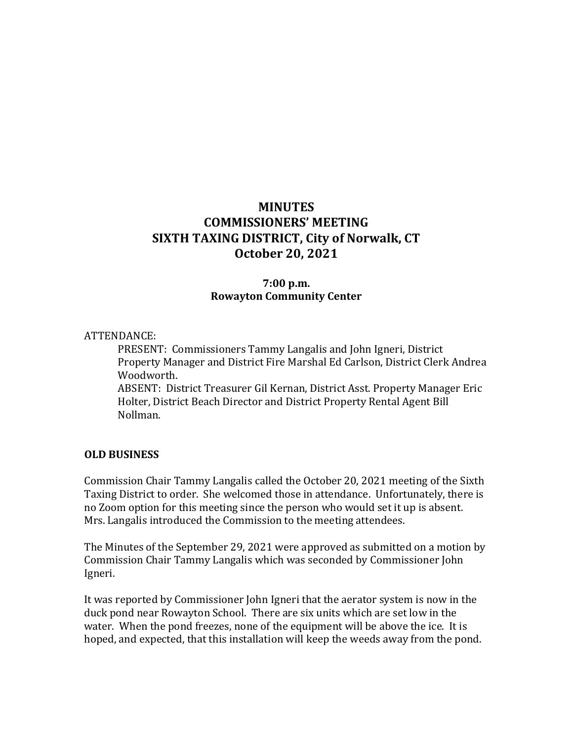# **MINUTES COMMISSIONERS' MEETING SIXTH TAXING DISTRICT, City of Norwalk, CT October 20, 2021**

### **7:00 p.m. Rowayton Community Center**

#### ATTENDANCE:

PRESENT: Commissioners Tammy Langalis and John Igneri, District Property Manager and District Fire Marshal Ed Carlson, District Clerk Andrea Woodworth. ABSENT: District Treasurer Gil Kernan, District Asst. Property Manager Eric Holter, District Beach Director and District Property Rental Agent Bill

Nollman.

#### **OLD BUSINESS**

Commission Chair Tammy Langalis called the October 20, 2021 meeting of the Sixth Taxing District to order. She welcomed those in attendance. Unfortunately, there is no Zoom option for this meeting since the person who would set it up is absent. Mrs. Langalis introduced the Commission to the meeting attendees.

The Minutes of the September 29, 2021 were approved as submitted on a motion by Commission Chair Tammy Langalis which was seconded by Commissioner John Igneri.

It was reported by Commissioner John Igneri that the aerator system is now in the duck pond near Rowayton School. There are six units which are set low in the water. When the pond freezes, none of the equipment will be above the ice. It is hoped, and expected, that this installation will keep the weeds away from the pond.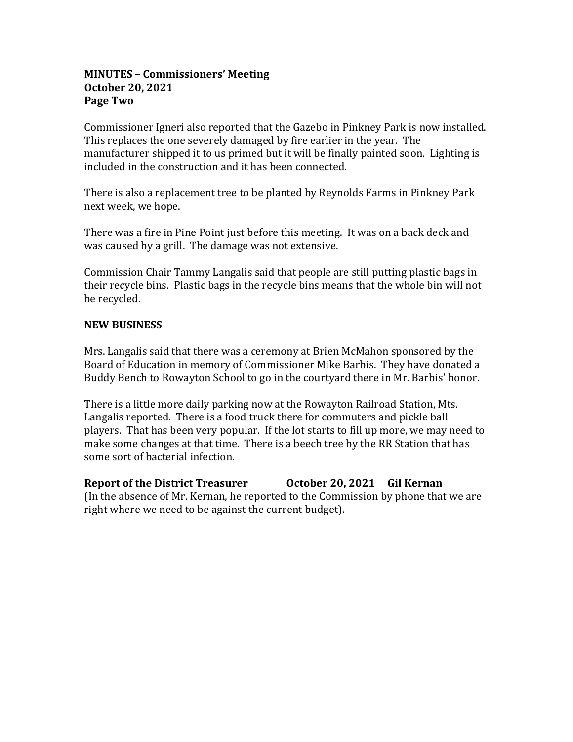### **MINUTES – Commissioners' Meeting October 20, 2021 Page Two**

Commissioner Igneri also reported that the Gazebo in Pinkney Park is now installed. This replaces the one severely damaged by fire earlier in the year. The manufacturer shipped it to us primed but it will be finally painted soon. Lighting is included in the construction and it has been connected.

There is also a replacement tree to be planted by Reynolds Farms in Pinkney Park next week, we hope.

There was a fire in Pine Point just before this meeting. It was on a back deck and was caused by a grill. The damage was not extensive.

Commission Chair Tammy Langalis said that people are still putting plastic bags in their recycle bins. Plastic bags in the recycle bins means that the whole bin will not be recycled.

### **NEW BUSINESS**

Mrs. Langalis said that there was a ceremony at Brien McMahon sponsored by the Board of Education in memory of Commissioner Mike Barbis. They have donated a Buddy Bench to Rowayton School to go in the courtyard there in Mr. Barbis' honor.

There is a little more daily parking now at the Rowayton Railroad Station, Mts. Langalis reported. There is a food truck there for commuters and pickle ball players. That has been very popular. If the lot starts to fill up more, we may need to make some changes at that time. There is a beech tree by the RR Station that has some sort of bacterial infection.

**Report of the District Treasurer October 20, 2021 Gil Kernan** (In the absence of Mr. Kernan, he reported to the Commission by phone that we are right where we need to be against the current budget).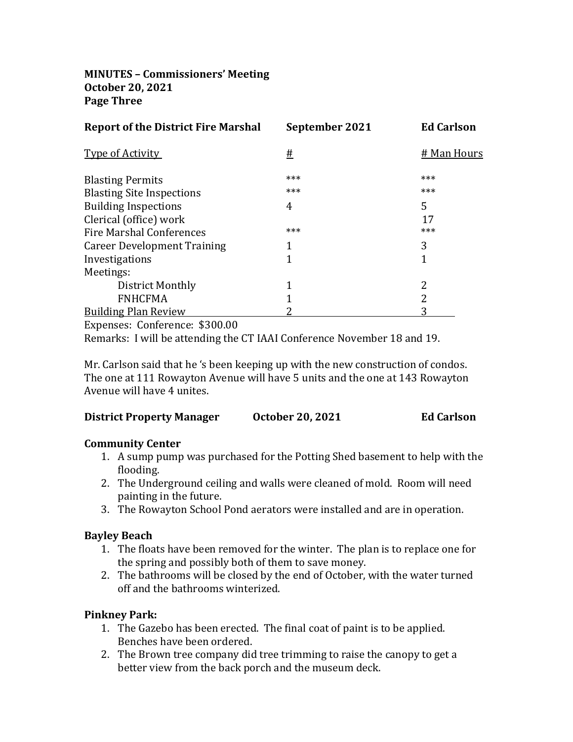**MINUTES – Commissioners' Meeting October 20, 2021 Page Three**

| <b>Report of the District Fire Marshal</b> | September 2021 | <b>Ed Carlson</b> |
|--------------------------------------------|----------------|-------------------|
| <b>Type of Activity</b>                    | <u>#</u>       | # Man Hours       |
| <b>Blasting Permits</b>                    | ***            | ***               |
| <b>Blasting Site Inspections</b>           | ***            | ***               |
| <b>Building Inspections</b>                | 4              | 5                 |
| Clerical (office) work                     |                | 17                |
| <b>Fire Marshal Conferences</b>            | ***            | ***               |
| <b>Career Development Training</b>         |                | 3                 |
| Investigations                             | 1              |                   |
| Meetings:                                  |                |                   |
| District Monthly                           | 1              | 2                 |
| <b>FNHCFMA</b>                             |                | 2                 |
| <b>Building Plan Review</b>                |                |                   |
| $\mathbf{r}$ and $\mathbf{r}$              |                |                   |

Expenses: Conference: \$300.00

Remarks: I will be attending the CT IAAI Conference November 18 and 19.

Mr. Carlson said that he 's been keeping up with the new construction of condos. The one at 111 Rowayton Avenue will have 5 units and the one at 143 Rowayton Avenue will have 4 unites.

| <b>District Property Manager</b> | <b>October 20, 2021</b> | <b>Ed Carlson</b> |
|----------------------------------|-------------------------|-------------------|
|----------------------------------|-------------------------|-------------------|

### **Community Center**

- 1. A sump pump was purchased for the Potting Shed basement to help with the flooding.
- 2. The Underground ceiling and walls were cleaned of mold. Room will need painting in the future.
- 3. The Rowayton School Pond aerators were installed and are in operation.

# **Bayley Beach**

- 1. The floats have been removed for the winter. The plan is to replace one for the spring and possibly both of them to save money.
- 2. The bathrooms will be closed by the end of October, with the water turned off and the bathrooms winterized.

# **Pinkney Park:**

- 1. The Gazebo has been erected. The final coat of paint is to be applied. Benches have been ordered.
- 2. The Brown tree company did tree trimming to raise the canopy to get a better view from the back porch and the museum deck.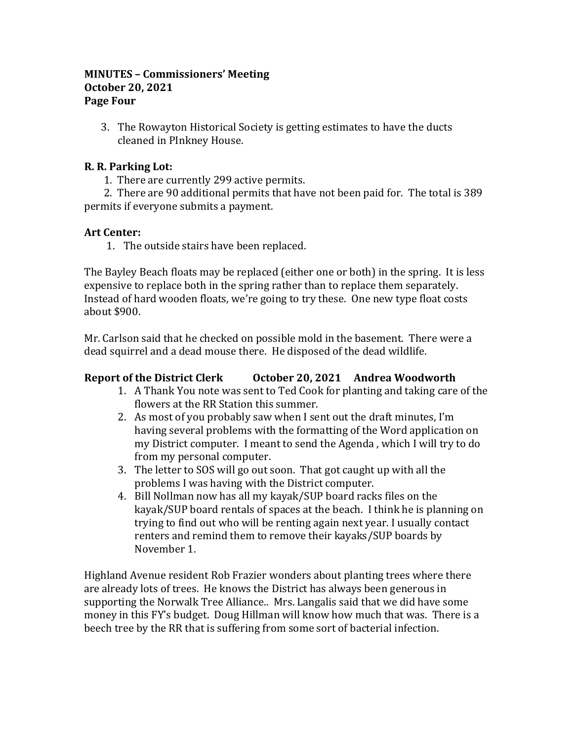### **MINUTES – Commissioners' Meeting October 20, 2021 Page Four**

3. The Rowayton Historical Society is getting estimates to have the ducts cleaned in PInkney House.

## **R. R. Parking Lot:**

1. There are currently 299 active permits.

 2. There are 90 additional permits that have not been paid for. The total is 389 permits if everyone submits a payment.

### **Art Center:**

1. The outside stairs have been replaced.

The Bayley Beach floats may be replaced (either one or both) in the spring. It is less expensive to replace both in the spring rather than to replace them separately. Instead of hard wooden floats, we're going to try these. One new type float costs about \$900.

Mr. Carlson said that he checked on possible mold in the basement. There were a dead squirrel and a dead mouse there. He disposed of the dead wildlife.

### **Report of the District Clerk October 20, 2021 Andrea Woodworth**

- 1. A Thank You note was sent to Ted Cook for planting and taking care of the flowers at the RR Station this summer.
- 2. As most of you probably saw when I sent out the draft minutes, I'm having several problems with the formatting of the Word application on my District computer. I meant to send the Agenda , which I will try to do from my personal computer.
- 3. The letter to SOS will go out soon. That got caught up with all the problems I was having with the District computer.
- 4. Bill Nollman now has all my kayak/SUP board racks files on the kayak/SUP board rentals of spaces at the beach. I think he is planning on trying to find out who will be renting again next year. I usually contact renters and remind them to remove their kayaks/SUP boards by November 1.

Highland Avenue resident Rob Frazier wonders about planting trees where there are already lots of trees. He knows the District has always been generous in supporting the Norwalk Tree Alliance.. Mrs. Langalis said that we did have some money in this FY's budget. Doug Hillman will know how much that was. There is a beech tree by the RR that is suffering from some sort of bacterial infection.